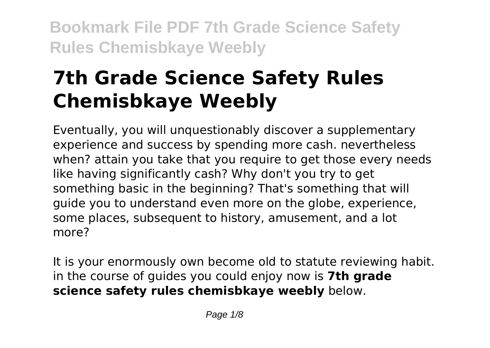# **7th Grade Science Safety Rules Chemisbkaye Weebly**

Eventually, you will unquestionably discover a supplementary experience and success by spending more cash. nevertheless when? attain you take that you require to get those every needs like having significantly cash? Why don't you try to get something basic in the beginning? That's something that will guide you to understand even more on the globe, experience, some places, subsequent to history, amusement, and a lot more?

It is your enormously own become old to statute reviewing habit. in the course of guides you could enjoy now is **7th grade science safety rules chemisbkaye weebly** below.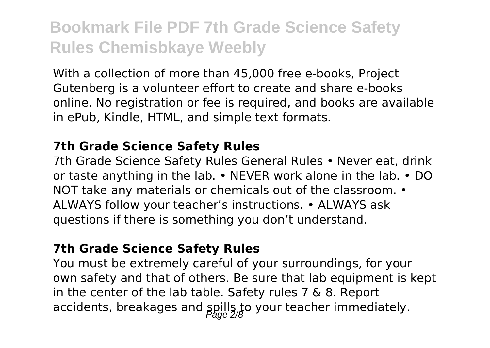With a collection of more than 45,000 free e-books, Project Gutenberg is a volunteer effort to create and share e-books online. No registration or fee is required, and books are available in ePub, Kindle, HTML, and simple text formats.

### **7th Grade Science Safety Rules**

7th Grade Science Safety Rules General Rules • Never eat, drink or taste anything in the lab. • NEVER work alone in the lab. • DO NOT take any materials or chemicals out of the classroom. • ALWAYS follow your teacher's instructions. • ALWAYS ask questions if there is something you don't understand.

#### **7th Grade Science Safety Rules**

You must be extremely careful of your surroundings, for your own safety and that of others. Be sure that lab equipment is kept in the center of the lab table. Safety rules 7 & 8. Report accidents, breakages and spills to your teacher immediately.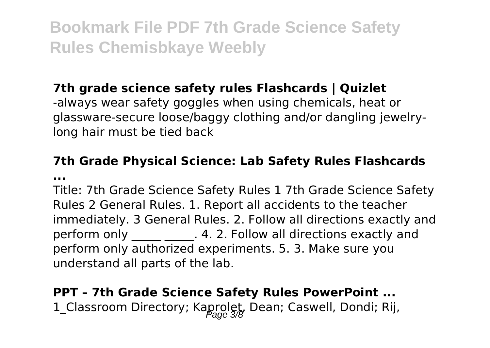### **7th grade science safety rules Flashcards | Quizlet**

-always wear safety goggles when using chemicals, heat or glassware-secure loose/baggy clothing and/or dangling jewelrylong hair must be tied back

### **7th Grade Physical Science: Lab Safety Rules Flashcards ...**

Title: 7th Grade Science Safety Rules 1 7th Grade Science Safety Rules 2 General Rules. 1. Report all accidents to the teacher immediately. 3 General Rules. 2. Follow all directions exactly and perform only **2.** 2. Follow all directions exactly and perform only authorized experiments. 5. 3. Make sure you understand all parts of the lab.

**PPT – 7th Grade Science Safety Rules PowerPoint ...** 1\_Classroom Directory; Kaprolet, Dean; Caswell, Dondi; Rij,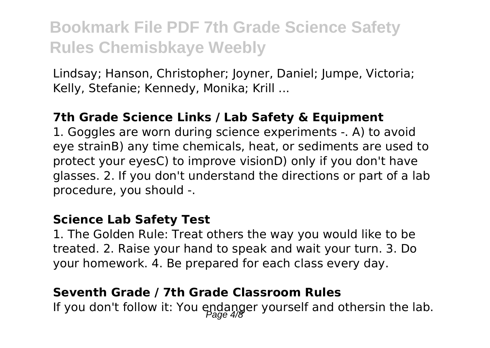Lindsay; Hanson, Christopher; Joyner, Daniel; Jumpe, Victoria; Kelly, Stefanie; Kennedy, Monika; Krill ...

### **7th Grade Science Links / Lab Safety & Equipment**

1. Goggles are worn during science experiments -. A) to avoid eye strainB) any time chemicals, heat, or sediments are used to protect your eyesC) to improve visionD) only if you don't have glasses. 2. If you don't understand the directions or part of a lab procedure, you should -.

#### **Science Lab Safety Test**

1. The Golden Rule: Treat others the way you would like to be treated. 2. Raise your hand to speak and wait your turn. 3. Do your homework. 4. Be prepared for each class every day.

### **Seventh Grade / 7th Grade Classroom Rules**

If you don't follow it: You endanger yourself and othersin the lab.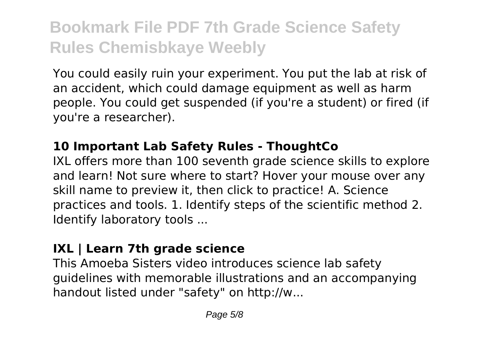You could easily ruin your experiment. You put the lab at risk of an accident, which could damage equipment as well as harm people. You could get suspended (if you're a student) or fired (if you're a researcher).

### **10 Important Lab Safety Rules - ThoughtCo**

IXL offers more than 100 seventh grade science skills to explore and learn! Not sure where to start? Hover your mouse over any skill name to preview it, then click to practice! A. Science practices and tools. 1. Identify steps of the scientific method 2. Identify laboratory tools ...

### **IXL | Learn 7th grade science**

This Amoeba Sisters video introduces science lab safety guidelines with memorable illustrations and an accompanying handout listed under "safety" on http://w...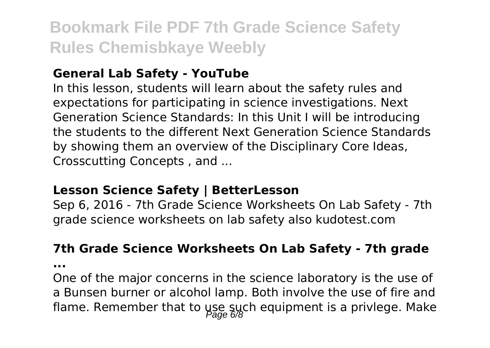### **General Lab Safety - YouTube**

In this lesson, students will learn about the safety rules and expectations for participating in science investigations. Next Generation Science Standards: In this Unit I will be introducing the students to the different Next Generation Science Standards by showing them an overview of the Disciplinary Core Ideas, Crosscutting Concepts , and ...

### **Lesson Science Safety | BetterLesson**

Sep 6, 2016 - 7th Grade Science Worksheets On Lab Safety - 7th grade science worksheets on lab safety also kudotest.com

#### **7th Grade Science Worksheets On Lab Safety - 7th grade**

**...**

One of the major concerns in the science laboratory is the use of a Bunsen burner or alcohol lamp. Both involve the use of fire and flame. Remember that to use such equipment is a privlege. Make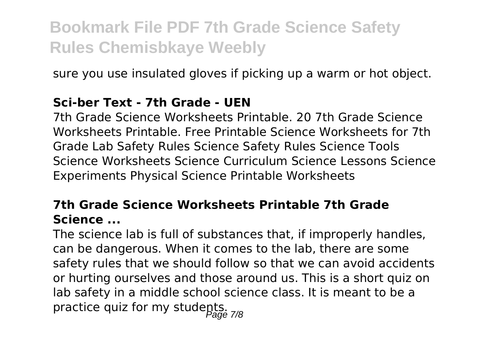sure you use insulated gloves if picking up a warm or hot object.

### **Sci-ber Text - 7th Grade - UEN**

7th Grade Science Worksheets Printable. 20 7th Grade Science Worksheets Printable. Free Printable Science Worksheets for 7th Grade Lab Safety Rules Science Safety Rules Science Tools Science Worksheets Science Curriculum Science Lessons Science Experiments Physical Science Printable Worksheets

### **7th Grade Science Worksheets Printable 7th Grade Science ...**

The science lab is full of substances that, if improperly handles, can be dangerous. When it comes to the lab, there are some safety rules that we should follow so that we can avoid accidents or hurting ourselves and those around us. This is a short quiz on lab safety in a middle school science class. It is meant to be a practice quiz for my students.<br> $p_{\text{age 7/8}}$